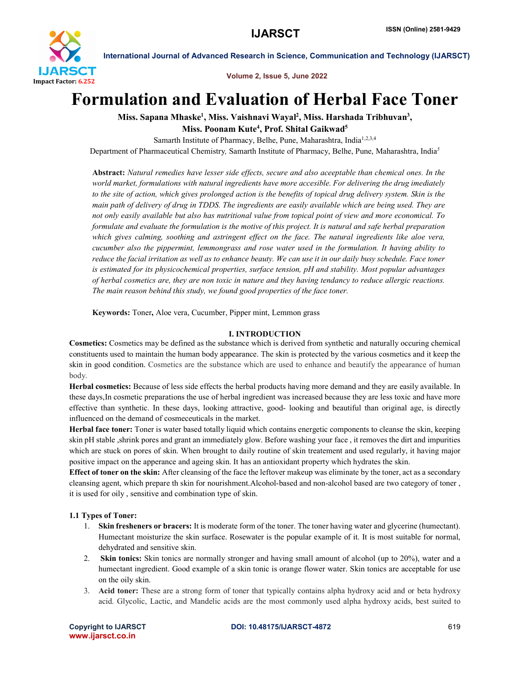

Volume 2, Issue 5, June 2022

# Formulation and Evaluation of Herbal Face Toner

Miss. Sapana Mhaske<sup>1</sup>, Miss. Vaishnavi Wayal<sup>2</sup>, Miss. Harshada Tribhuvan<sup>3</sup>, Miss. Poonam Kute<sup>4</sup>, Prof. Shital Gaikwad<sup>5</sup>

Samarth Institute of Pharmacy, Belhe, Pune, Maharashtra, India<sup>1,2,3,4</sup>

Department of Pharmaceutical Chemistry*,* Samarth Institute of Pharmacy, Belhe, Pune, Maharashtra, India*<sup>5</sup>*

Abstract: *Natural remedies have lesser side effects, secure and also aceeptable than chemical ones. In the world market, formulations with natural ingredients have more accesible. For delivering the drug imediately to the site of action, which gives prolonged action is the benefits of topical drug delivery system. Skin is the main path of delivery of drug in TDDS. The ingredients are easily available which are being used. They are not only easily available but also has nutritional value from topical point of view and more economical. To*  formulate and evaluate the formulation is the motive of this project. It is natural and safe herbal preparation *which gives calming, soothing and astringent effect on the face. The natural ingredients like aloe vera, cucumber also the pippermint, lemmongrass and rose water used in the formulation. It having ability to reduce the facial irritation as well as to enhance beauty. We can use it in our daily busy schedule. Face toner is estimated for its physicochemical properties, surface tension, pH and stability. Most popular advantages of herbal cosmetics are, they are non toxic in nature and they having tendancy to reduce allergic reactions. The main reason behind this study, we found good properties of the face toner.*

Keywords: Toner, Aloe vera, Cucumber, Pipper mint, Lemmon grass

### I. INTRODUCTION

Cosmetics: Cosmetics may be defined as the substance which is derived from synthetic and naturally occuring chemical constituents used to maintain the human body appearance. The skin is protected by the various cosmetics and it keep the skin in good condition. Cosmetics are the substance which are used to enhance and beautify the appearance of human body.

Herbal cosmetics: Because of less side effects the herbal products having more demand and they are easily available. In these days,In cosmetic preparations the use of herbal ingredient was increased because they are less toxic and have more effective than synthetic. In these days, looking attractive, good- looking and beautiful than original age, is directly influenced on the demand of cosmeceuticals in the market.

Herbal face toner: Toner is water based totally liquid which contains energetic components to cleanse the skin, keeping skin pH stable ,shrink pores and grant an immediately glow. Before washing your face , it removes the dirt and impurities which are stuck on pores of skin. When brought to daily routine of skin treatement and used regularly, it having major positive impact on the apperance and ageing skin. It has an antioxidant property which hydrates the skin.

Effect of toner on the skin: After cleansing of the face the leftover makeup was eliminate by the toner, act as a secondary cleansing agent, which prepare th skin for nourishment.Alcohol-based and non-alcohol based are two category of toner , it is used for oily , sensitive and combination type of skin.

# 1.1 Types of Toner:

- 1. Skin fresheners or bracers: It is moderate form of the toner. The toner having water and glycerine (humectant). Humectant moisturize the skin surface. Rosewater is the popular example of it. It is most suitable for normal, dehydrated and sensitive skin.
- 2. Skin tonics: Skin tonics are normally stronger and having small amount of alcohol (up to 20%), water and a humectant ingredient. Good example of a skin tonic is orange flower water. Skin tonics are acceptable for use on the oily skin.
- 3. Acid toner: These are a strong form of toner that typically contains alpha hydroxy acid and or beta hydroxy acid. Glycolic, Lactic, and Mandelic acids are the most commonly used alpha hydroxy acids, best suited to

www.ijarsct.co.in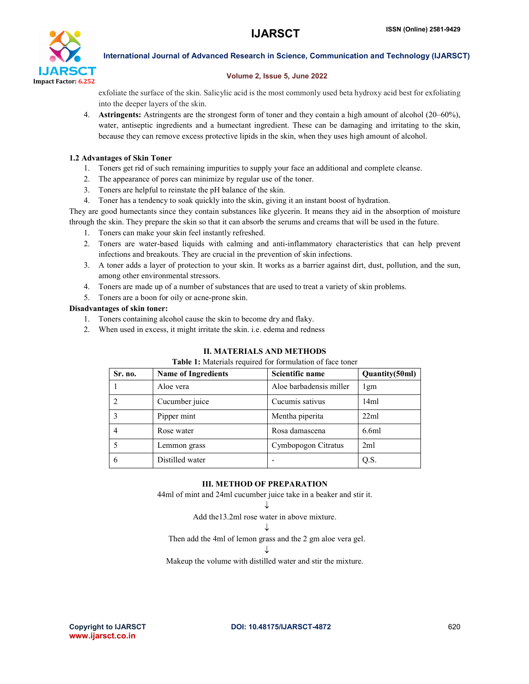

## Volume 2, Issue 5, June 2022

exfoliate the surface of the skin. Salicylic acid is the most commonly used beta hydroxy acid best for exfoliating into the deeper layers of the skin.

4. Astringents: Astringents are the strongest form of toner and they contain a high amount of alcohol (20–60%), water, antiseptic ingredients and a humectant ingredient. These can be damaging and irritating to the skin, because they can remove excess protective lipids in the skin, when they uses high amount of alcohol.

# 1.2 Advantages of Skin Toner

- 1. Toners get rid of such remaining impurities to supply your face an additional and complete cleanse.
- 2. The appearance of pores can minimize by regular use of the toner.
- 3. Toners are helpful to reinstate the pH balance of the skin.
- 4. Toner has a tendency to soak quickly into the skin, giving it an instant boost of hydration.

They are good humectants since they contain substances like glycerin. It means they aid in the absorption of moisture through the skin. They prepare the skin so that it can absorb the serums and creams that will be used in the future.

- 1. Toners can make your skin feel instantly refreshed.
- 2. Toners are water-based liquids with calming and anti-inflammatory characteristics that can help prevent infections and breakouts. They are crucial in the prevention of skin infections.
- 3. A toner adds a layer of protection to your skin. It works as a barrier against dirt, dust, pollution, and the sun, among other environmental stressors.
- 4. Toners are made up of a number of substances that are used to treat a variety of skin problems.
- 5. Toners are a boon for oily or acne-prone skin.

### Disadvantages of skin toner:

- 1. Toners containing alcohol cause the skin to become dry and flaky.
- 2. When used in excess, it might irritate the skin. i.e. edema and redness

# II. MATERIALS AND METHODS

#### Table 1: Materials required for formulation of face toner

| Sr. no.        | <b>Name of Ingredients</b> | Scientific name         | Quantity(50ml) |
|----------------|----------------------------|-------------------------|----------------|
|                | Aloe vera                  | Aloe barbadensis miller | 1gm            |
|                | Cucumber juice             | Cucumis sativus         | 14ml           |
|                | Pipper mint                | Mentha piperita         | 22ml           |
| $\overline{4}$ | Rose water                 | Rosa damascena          | 6.6ml          |
|                | Lemmon grass               | Cymbopogon Citratus     | 2ml            |
| 6              | Distilled water            |                         | Q.S.           |

# III. METHOD OF PREPARATION

44ml of mint and 24ml cucumber juice take in a beaker and stir it.

#### $\downarrow$ Add the13.2ml rose water in above mixture.

# $\downarrow$

Then add the 4ml of lemon grass and the 2 gm aloe vera gel.

J

Makeup the volume with distilled water and stir the mixture.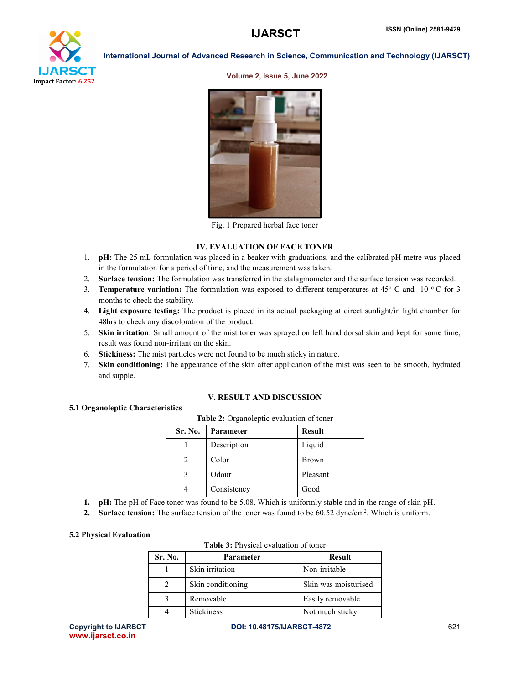

#### Volume 2, Issue 5, June 2022



Fig. 1 Prepared herbal face toner

### IV. EVALUATION OF FACE TONER

- 1. pH: The 25 mL formulation was placed in a beaker with graduations, and the calibrated pH metre was placed in the formulation for a period of time, and the measurement was taken.
- 2. Surface tension: The formulation was transferred in the stalagmometer and the surface tension was recorded.
- 3. **Temperature variation:** The formulation was exposed to different temperatures at 45 $^{\circ}$  C and -10 $^{\circ}$ C for 3 months to check the stability.
- 4. Light exposure testing: The product is placed in its actual packaging at direct sunlight/in light chamber for 48hrs to check any discoloration of the product.
- 5. Skin irritation: Small amount of the mist toner was sprayed on left hand dorsal skin and kept for some time, result was found non-irritant on the skin.
- 6. Stickiness: The mist particles were not found to be much sticky in nature.
- 7. Skin conditioning: The appearance of the skin after application of the mist was seen to be smooth, hydrated and supple.

# V. RESULT AND DISCUSSION

#### 5.1 Organoleptic Characteristics

| Sr. No. | <b>Parameter</b> | <b>Result</b> |  |  |
|---------|------------------|---------------|--|--|
|         | Description      | Liquid        |  |  |
|         | Color            | <b>Brown</b>  |  |  |
|         | Odour            | Pleasant      |  |  |
| 4       | Consistency      | Good          |  |  |

Table 2: Organoleptic evaluation of toner

- 1. pH: The pH of Face toner was found to be 5.08. Which is uniformly stable and in the range of skin pH.
- 2. Surface tension: The surface tension of the toner was found to be  $60.52$  dyne/cm<sup>2</sup>. Which is uniform.

#### 5.2 Physical Evaluation

| <b>Table 3:</b> Physical evaluation of toner |  |
|----------------------------------------------|--|
|                                              |  |

| Sr. No. | Parameter         | <b>Result</b>        |
|---------|-------------------|----------------------|
|         | Skin irritation   | Non-irritable        |
|         | Skin conditioning | Skin was moisturised |
|         | Removable         | Easily removable     |
|         | <b>Stickiness</b> | Not much sticky      |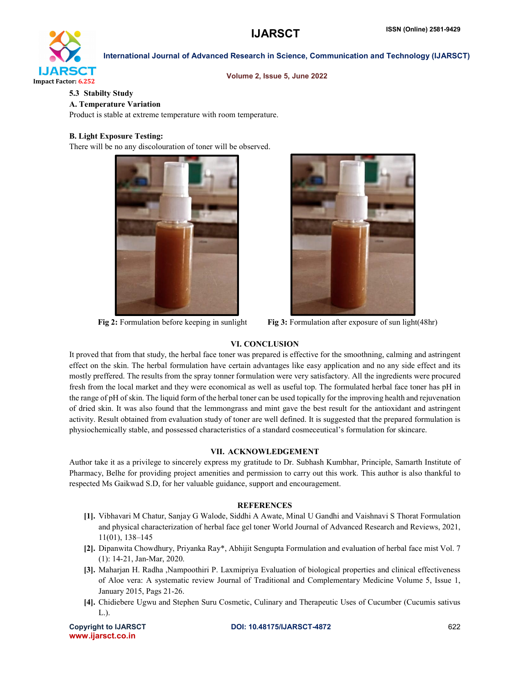

Volume 2, Issue 5, June 2022

# 5.3 Stabilty Study

# A. Temperature Variation

Product is stable at extreme temperature with room temperature.

# B. Light Exposure Testing:

There will be no any discolouration of toner will be observed.





Fig 2: Formulation before keeping in sunlight Fig 3: Formulation after exposure of sun light(48hr)

# VI. CONCLUSION

It proved that from that study, the herbal face toner was prepared is effective for the smoothning, calming and astringent effect on the skin. The herbal formulation have certain advantages like easy application and no any side effect and its mostly preffered. The results from the spray tonner formulation were very satisfactory. All the ingredients were procured fresh from the local market and they were economical as well as useful top. The formulated herbal face toner has pH in the range of pH of skin. The liquid form of the herbal toner can be used topically for the improving health and rejuvenation of dried skin. It was also found that the lemmongrass and mint gave the best result for the antioxidant and astringent activity. Result obtained from evaluation study of toner are well defined. It is suggested that the prepared formulation is physiochemically stable, and possessed characteristics of a standard cosmeceutical's formulation for skincare.

# VII. ACKNOWLEDGEMENT

Author take it as a privilege to sincerely express my gratitude to Dr. Subhash Kumbhar, Principle, Samarth Institute of Pharmacy, Belhe for providing project amenities and permission to carry out this work. This author is also thankful to respected Ms Gaikwad S.D, for her valuable guidance, support and encouragement.

### REFERENCES

- [1]. Vibhavari M Chatur, Sanjay G Walode, Siddhi A Awate, Minal U Gandhi and Vaishnavi S Thorat Formulation and physical characterization of herbal face gel toner World Journal of Advanced Research and Reviews, 2021, 11(01), 138–145
- [2]. Dipanwita Chowdhury, Priyanka Ray\*, Abhijit Sengupta Formulation and evaluation of herbal face mist Vol. 7 (1): 14-21, Jan-Mar, 2020.
- [3]. Maharjan H. Radha ,Nampoothiri P. Laxmipriya Evaluation of biological properties and clinical effectiveness of Aloe vera: A systematic review Journal of Traditional and Complementary Medicine Volume 5, Issue 1, January 2015, Pags 21-26.
- [4]. Chidiebere Ugwu and Stephen Suru Cosmetic, Culinary and Therapeutic Uses of Cucumber (Cucumis sativus L.).

www.ijarsct.co.in